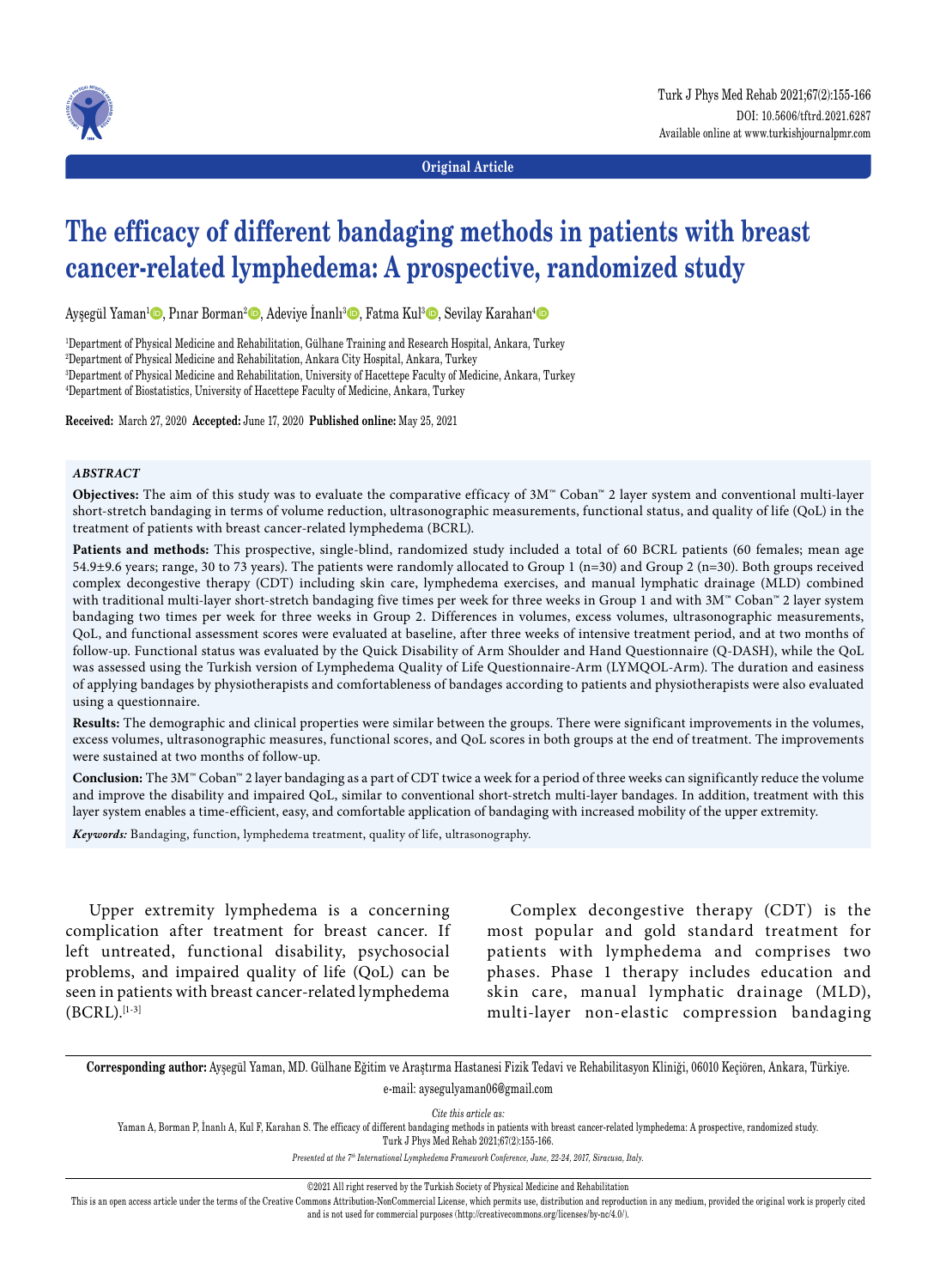

**Original Article**

# **The efficacy of different bandaging methods in patients with breast cancer-related lymphedema: A prospective, randomized study**

Ayşegül Yaman<sup>ı</sup> ©, Pınar Borman<sup>2</sup> ©, Adeviye İnanlı<sup>3</sup> ©, Fatma Kul<sup>3</sup> ©, Sevilay Karahan<sup>4</sup> ©

 Department of Physical Medicine and Rehabilitation, Gülhane Training and Research Hospital, Ankara, Turkey Department of Physical Medicine and Rehabilitation, Ankara City Hospital, Ankara, Turkey Department of Physical Medicine and Rehabilitation, University of Hacettepe Faculty of Medicine, Ankara, Turkey Department of Biostatistics, University of Hacettepe Faculty of Medicine, Ankara, Turkey

**Received:** March 27, 2020 **Accepted:** June 17, 2020 **Published online:** May 25, 2021

#### *ABSTRACT*

**Objectives:** The aim of this study was to evaluate the comparative efficacy of 3M™ Coban™ 2 layer system and conventional multi-layer short-stretch bandaging in terms of volume reduction, ultrasonographic measurements, functional status, and quality of life (QoL) in the treatment of patients with breast cancer-related lymphedema (BCRL).

**Patients and methods:** This prospective, single-blind, randomized study included a total of 60 BCRL patients (60 females; mean age 54.9±9.6 years; range, 30 to 73 years). The patients were randomly allocated to Group 1 (n=30) and Group 2 (n=30). Both groups received complex decongestive therapy (CDT) including skin care, lymphedema exercises, and manual lymphatic drainage (MLD) combined with traditional multi-layer short-stretch bandaging five times per week for three weeks in Group 1 and with 3M™ Coban™ 2 layer system bandaging two times per week for three weeks in Group 2. Differences in volumes, excess volumes, ultrasonographic measurements, QoL, and functional assessment scores were evaluated at baseline, after three weeks of intensive treatment period, and at two months of follow-up. Functional status was evaluated by the Quick Disability of Arm Shoulder and Hand Questionnaire (Q-DASH), while the QoL was assessed using the Turkish version of Lymphedema Quality of Life Questionnaire-Arm (LYMQOL-Arm). The duration and easiness of applying bandages by physiotherapists and comfortableness of bandages according to patients and physiotherapists were also evaluated using a questionnaire.

**Results:** The demographic and clinical properties were similar between the groups. There were significant improvements in the volumes, excess volumes, ultrasonographic measures, functional scores, and QoL scores in both groups at the end of treatment. The improvements were sustained at two months of follow-up.

**Conclusion:** The 3M™ Coban™ 2 layer bandaging as a part of CDT twice a week for a period of three weeks can significantly reduce the volume and improve the disability and impaired QoL, similar to conventional short-stretch multi-layer bandages. In addition, treatment with this layer system enables a time-efficient, easy, and comfortable application of bandaging with increased mobility of the upper extremity.

*Keywords:* Bandaging, function, lymphedema treatment, quality of life, ultrasonography.

Upper extremity lymphedema is a concerning complication after treatment for breast cancer. If left untreated, functional disability, psychosocial problems, and impaired quality of life (QoL) can be seen in patients with breast cancer-related lymphedema  $(BCRL)$ .[1-3]

Complex decongestive therapy (CDT) is the most popular and gold standard treatment for patients with lymphedema and comprises two phases. Phase 1 therapy includes education and skin care, manual lymphatic drainage (MLD), multi-layer non-elastic compression bandaging

**Corresponding author:** Ayşegül Yaman, MD. Gülhane Eğitim ve Araştırma Hastanesi Fizik Tedavi ve Rehabilitasyon Kliniği, 06010 Keçiören, Ankara, Türkiye. e-mail: aysegulyaman06@gmail.com

*Cite this article as:*

Yaman A, Borman P, İnanlı A, Kul F, Karahan S. The efficacy of different bandaging methods in patients with breast cancer-related lymphedema: A prospective, randomized study. Turk J Phys Med Rehab 2021;67(2):155-166.

*Presented at the 7th International Lymphedema Framework Conference, June, 22-24, 2017, Siracusa, Italy.*

©2021 All right reserved by the Turkish Society of Physical Medicine and Rehabilitation

This is an open access article under the terms of the Creative Commons Attribution-NonCommercial License, which permits use, distribution and reproduction in any medium, provided the original work is properly cited and is not used for commercial purposes (http://creativecommons.org/licenses/by-nc/4.0/).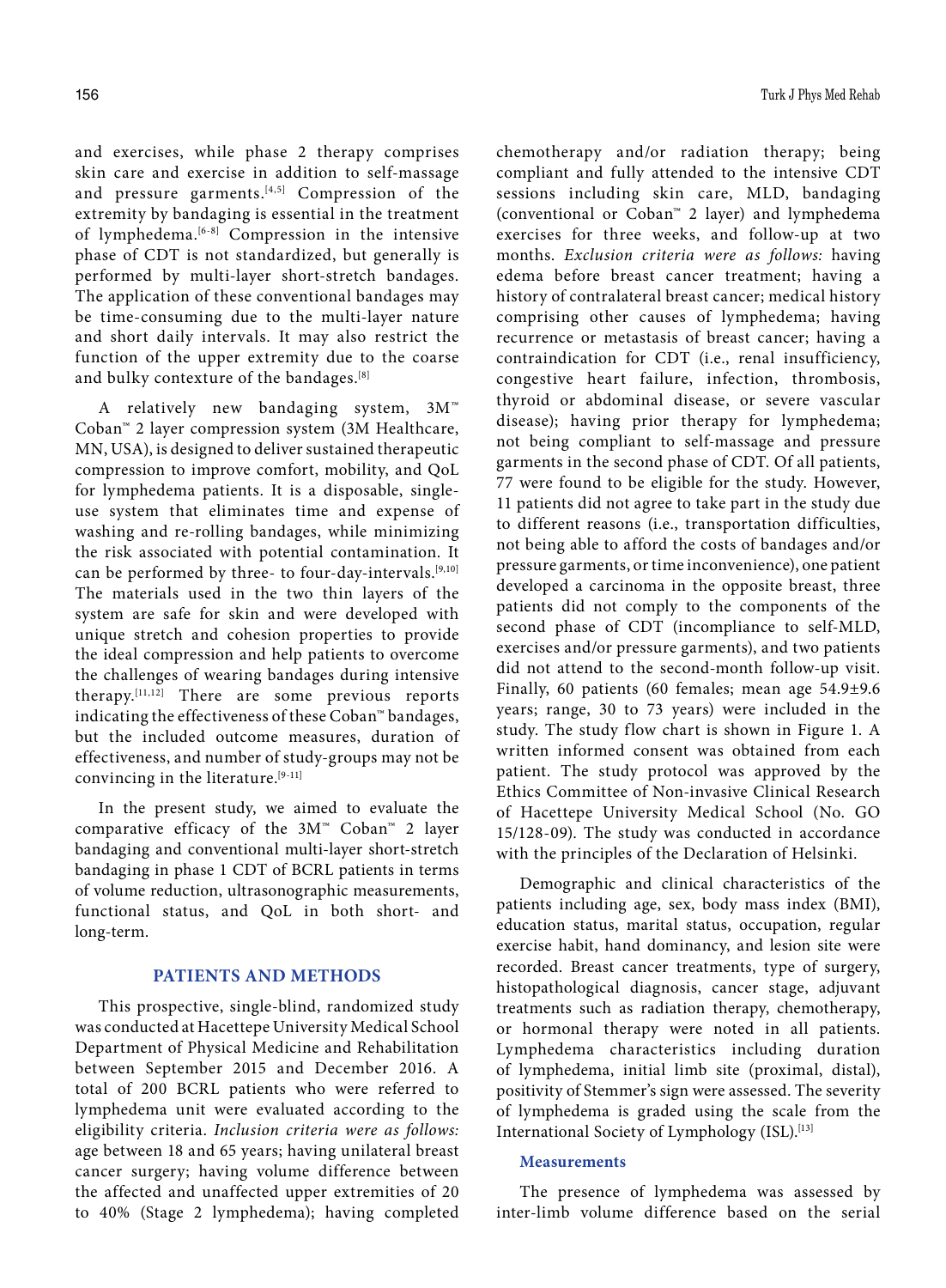and exercises, while phase 2 therapy comprises skin care and exercise in addition to self-massage and pressure garments.<sup>[4,5]</sup> Compression of the extremity by bandaging is essential in the treatment of lymphedema.[6-8] Compression in the intensive phase of CDT is not standardized, but generally is performed by multi-layer short-stretch bandages. The application of these conventional bandages may be time-consuming due to the multi-layer nature and short daily intervals. It may also restrict the function of the upper extremity due to the coarse and bulky contexture of the bandages.<sup>[8]</sup>

A relatively new bandaging system, 3M™ Coban™ 2 layer compression system (3M Healthcare, MN, USA), is designed to deliver sustained therapeutic compression to improve comfort, mobility, and QoL for lymphedema patients. It is a disposable, singleuse system that eliminates time and expense of washing and re-rolling bandages, while minimizing the risk associated with potential contamination. It can be performed by three- to four-day-intervals.[9,10] The materials used in the two thin layers of the system are safe for skin and were developed with unique stretch and cohesion properties to provide the ideal compression and help patients to overcome the challenges of wearing bandages during intensive therapy.[11,12] There are some previous reports indicating the effectiveness of these Coban™ bandages, but the included outcome measures, duration of effectiveness, and number of study-groups may not be convincing in the literature.<sup>[9-11]</sup>

In the present study, we aimed to evaluate the comparative efficacy of the 3M™ Coban™ 2 layer bandaging and conventional multi-layer short-stretch bandaging in phase 1 CDT of BCRL patients in terms of volume reduction, ultrasonographic measurements, functional status, and QoL in both short- and long-term.

# **PATIENTS AND METHODS**

This prospective, single-blind, randomized study was conducted at Hacettepe University Medical School Department of Physical Medicine and Rehabilitation between September 2015 and December 2016. A total of 200 BCRL patients who were referred to lymphedema unit were evaluated according to the eligibility criteria. *Inclusion criteria were as follows:* age between 18 and 65 years; having unilateral breast cancer surgery; having volume difference between the affected and unaffected upper extremities of 20 to 40% (Stage 2 lymphedema); having completed chemotherapy and/or radiation therapy; being compliant and fully attended to the intensive CDT sessions including skin care, MLD, bandaging (conventional or Coban™ 2 layer) and lymphedema exercises for three weeks, and follow-up at two months. *Exclusion criteria were as follows:* having edema before breast cancer treatment; having a history of contralateral breast cancer; medical history comprising other causes of lymphedema; having recurrence or metastasis of breast cancer; having a contraindication for CDT (i.e., renal insufficiency, congestive heart failure, infection, thrombosis, thyroid or abdominal disease, or severe vascular disease); having prior therapy for lymphedema; not being compliant to self-massage and pressure garments in the second phase of CDT. Of all patients, 77 were found to be eligible for the study. However, 11 patients did not agree to take part in the study due to different reasons (i.e., transportation difficulties, not being able to afford the costs of bandages and/or pressure garments, or time inconvenience), one patient developed a carcinoma in the opposite breast, three patients did not comply to the components of the second phase of CDT (incompliance to self-MLD, exercises and/or pressure garments), and two patients did not attend to the second-month follow-up visit. Finally, 60 patients (60 females; mean age 54.9±9.6

years; range, 30 to 73 years) were included in the study. The study flow chart is shown in Figure 1. A written informed consent was obtained from each patient. The study protocol was approved by the Ethics Committee of Non-invasive Clinical Research of Hacettepe University Medical School (No. GO 15/128-09). The study was conducted in accordance with the principles of the Declaration of Helsinki.

Demographic and clinical characteristics of the patients including age, sex, body mass index (BMI), education status, marital status, occupation, regular exercise habit, hand dominancy, and lesion site were recorded. Breast cancer treatments, type of surgery, histopathological diagnosis, cancer stage, adjuvant treatments such as radiation therapy, chemotherapy, or hormonal therapy were noted in all patients. Lymphedema characteristics including duration of lymphedema, initial limb site (proximal, distal), positivity of Stemmer's sign were assessed. The severity of lymphedema is graded using the scale from the International Society of Lymphology (ISL).[13]

## **Measurements**

The presence of lymphedema was assessed by inter-limb volume difference based on the serial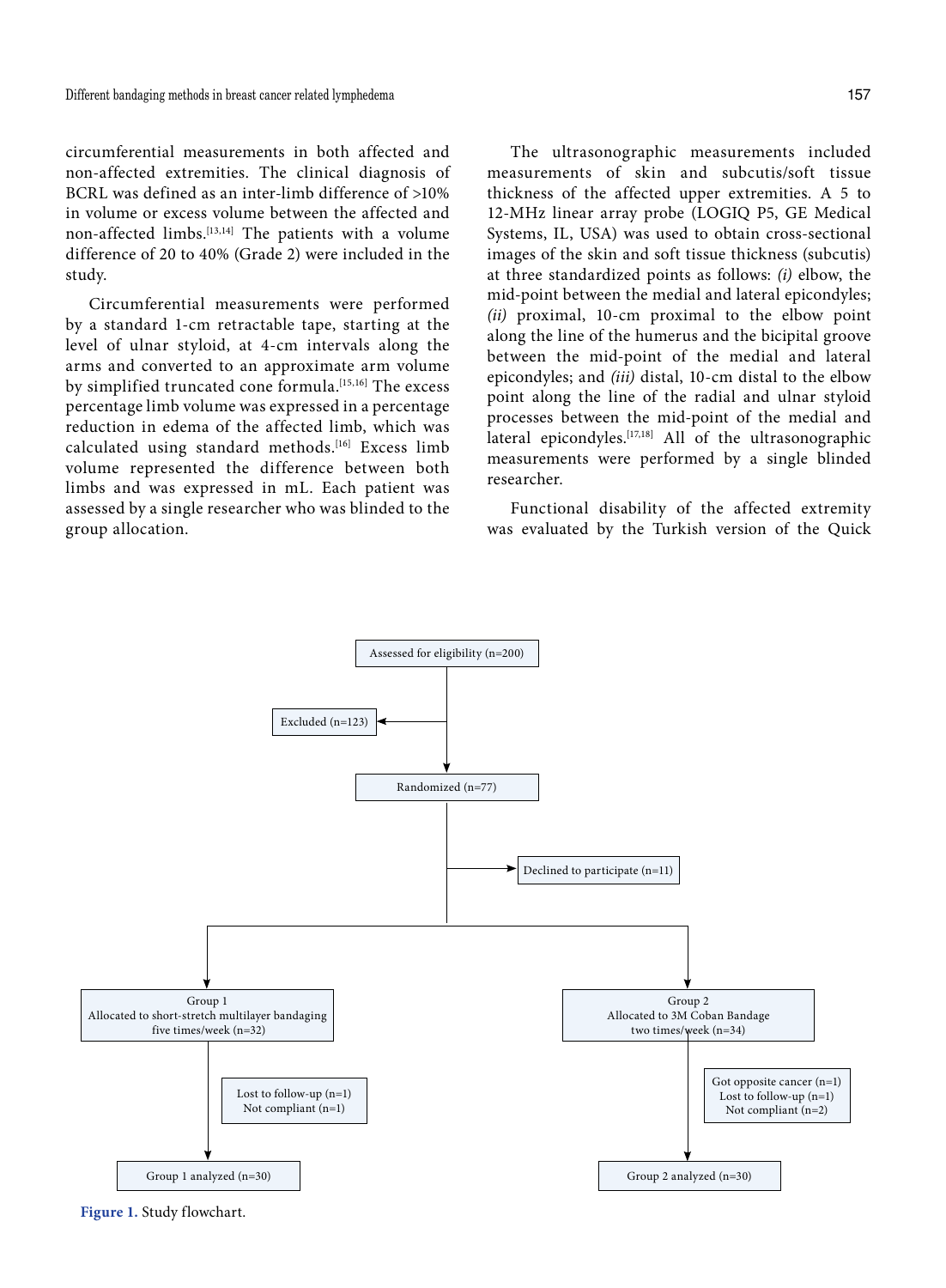circumferential measurements in both affected and non-affected extremities. The clinical diagnosis of BCRL was defined as an inter-limb difference of >10% in volume or excess volume between the affected and non-affected limbs.[13,14] The patients with a volume difference of 20 to 40% (Grade 2) were included in the study.

Circumferential measurements were performed by a standard 1-cm retractable tape, starting at the level of ulnar styloid, at 4-cm intervals along the arms and converted to an approximate arm volume by simplified truncated cone formula.[15,16] The excess percentage limb volume was expressed in a percentage reduction in edema of the affected limb, which was calculated using standard methods.[16] Excess limb volume represented the difference between both limbs and was expressed in mL. Each patient was assessed by a single researcher who was blinded to the group allocation.

The ultrasonographic measurements included measurements of skin and subcutis/soft tissue thickness of the affected upper extremities. A 5 to 12-MHz linear array probe (LOGIQ P5, GE Medical Systems, IL, USA) was used to obtain cross-sectional images of the skin and soft tissue thickness (subcutis) at three standardized points as follows: *(i)* elbow, the mid-point between the medial and lateral epicondyles; *(ii)* proximal, 10-cm proximal to the elbow point along the line of the humerus and the bicipital groove between the mid-point of the medial and lateral epicondyles; and *(iii)* distal, 10-cm distal to the elbow point along the line of the radial and ulnar styloid processes between the mid-point of the medial and lateral epicondyles.<sup>[17,18]</sup> All of the ultrasonographic measurements were performed by a single blinded researcher.

Functional disability of the affected extremity was evaluated by the Turkish version of the Quick



**Figure 1.** Study flowchart.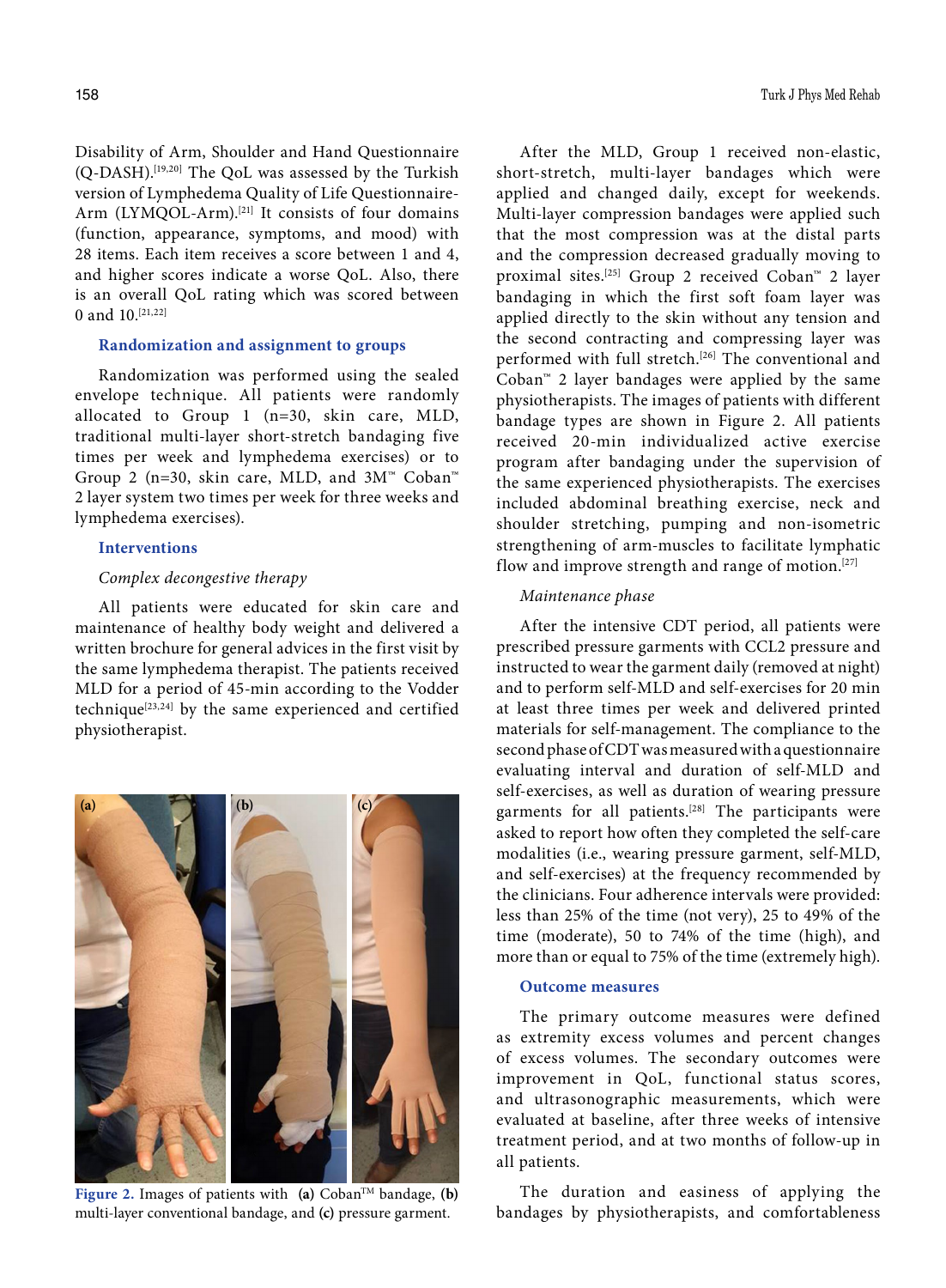Disability of Arm, Shoulder and Hand Questionnaire (Q-DASH).[19,20] The QoL was assessed by the Turkish version of Lymphedema Quality of Life Questionnaire-Arm (LYMQOL-Arm).<sup>[21]</sup> It consists of four domains (function, appearance, symptoms, and mood) with 28 items. Each item receives a score between 1 and 4, and higher scores indicate a worse QoL. Also, there is an overall QoL rating which was scored between 0 and  $10^{[21,22]}$ 

# **Randomization and assignment to groups**

Randomization was performed using the sealed envelope technique. All patients were randomly allocated to Group 1 (n=30, skin care, MLD, traditional multi-layer short-stretch bandaging five times per week and lymphedema exercises) or to Group 2 (n=30, skin care, MLD, and 3M™ Coban™ 2 layer system two times per week for three weeks and lymphedema exercises).

## **Interventions**

## *Complex decongestive therapy*

All patients were educated for skin care and maintenance of healthy body weight and delivered a written brochure for general advices in the first visit by the same lymphedema therapist. The patients received MLD for a period of 45-min according to the Vodder technique[23,24] by the same experienced and certified physiotherapist.



**Figure 2.** Images of patients with **(a)** Coban<sup>TM</sup> bandage, **(b)** multi-layer conventional bandage, and **(c)** pressure garment.

After the MLD, Group 1 received non-elastic, short-stretch, multi-layer bandages which were applied and changed daily, except for weekends. Multi-layer compression bandages were applied such that the most compression was at the distal parts and the compression decreased gradually moving to proximal sites.[25] Group 2 received Coban™ 2 layer bandaging in which the first soft foam layer was applied directly to the skin without any tension and the second contracting and compressing layer was performed with full stretch.<sup>[26]</sup> The conventional and Coban™ 2 layer bandages were applied by the same physiotherapists. The images of patients with different bandage types are shown in Figure 2. All patients received 20-min individualized active exercise program after bandaging under the supervision of the same experienced physiotherapists. The exercises included abdominal breathing exercise, neck and shoulder stretching, pumping and non-isometric strengthening of arm-muscles to facilitate lymphatic flow and improve strength and range of motion.<sup>[27]</sup>

## *Maintenance phase*

After the intensive CDT period, all patients were prescribed pressure garments with CCL2 pressure and instructed to wear the garment daily (removed at night) and to perform self-MLD and self-exercises for 20 min at least three times per week and delivered printed materials for self-management. The compliance to the second phase of CDT was measured with a questionnaire evaluating interval and duration of self-MLD and self-exercises, as well as duration of wearing pressure garments for all patients.<sup>[28]</sup> The participants were asked to report how often they completed the self-care modalities (i.e., wearing pressure garment, self-MLD, and self-exercises) at the frequency recommended by the clinicians. Four adherence intervals were provided: less than 25% of the time (not very), 25 to 49% of the time (moderate), 50 to 74% of the time (high), and more than or equal to 75% of the time (extremely high).

#### **Outcome measures**

The primary outcome measures were defined as extremity excess volumes and percent changes of excess volumes. The secondary outcomes were improvement in QoL, functional status scores, and ultrasonographic measurements, which were evaluated at baseline, after three weeks of intensive treatment period, and at two months of follow-up in all patients.

The duration and easiness of applying the bandages by physiotherapists, and comfortableness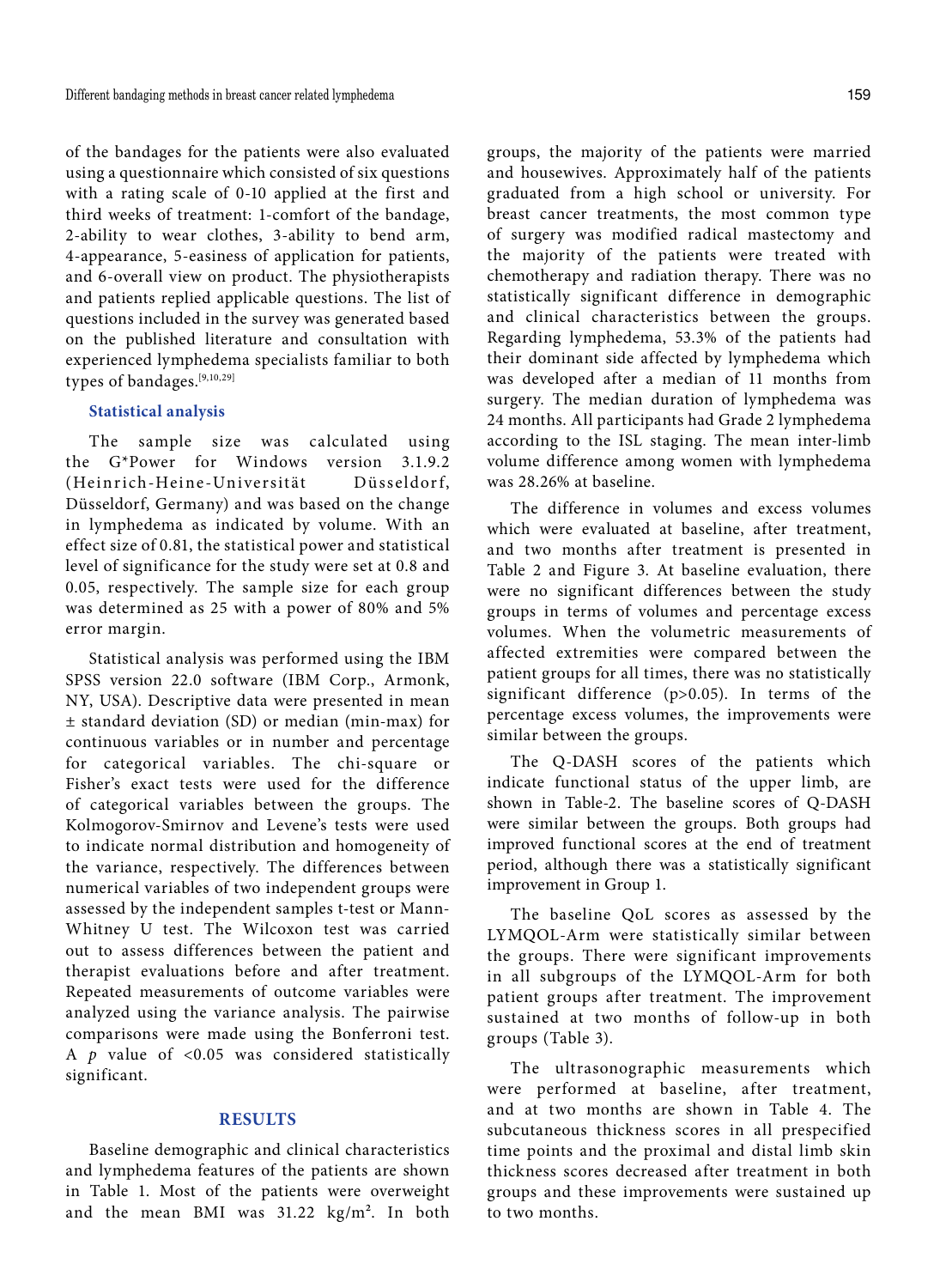of the bandages for the patients were also evaluated using a questionnaire which consisted of six questions with a rating scale of 0-10 applied at the first and third weeks of treatment: 1-comfort of the bandage, 2-ability to wear clothes, 3-ability to bend arm, 4-appearance, 5-easiness of application for patients, and 6-overall view on product. The physiotherapists and patients replied applicable questions. The list of questions included in the survey was generated based on the published literature and consultation with experienced lymphedema specialists familiar to both types of bandages.[9,10,29]

## **Statistical analysis**

The sample size was calculated using the G\*Power for Windows version 3.1.9.2 (Heinrich-Heine-Universität Düsseldorf, Düsseldorf, Germany) and was based on the change in lymphedema as indicated by volume. With an effect size of 0.81, the statistical power and statistical level of significance for the study were set at 0.8 and 0.05, respectively. The sample size for each group was determined as 25 with a power of 80% and 5% error margin.

Statistical analysis was performed using the IBM SPSS version 22.0 software (IBM Corp., Armonk, NY, USA). Descriptive data were presented in mean ± standard deviation (SD) or median (min-max) for continuous variables or in number and percentage for categorical variables. The chi-square or Fisher's exact tests were used for the difference of categorical variables between the groups. The Kolmogorov-Smirnov and Levene's tests were used to indicate normal distribution and homogeneity of the variance, respectively. The differences between numerical variables of two independent groups were assessed by the independent samples t-test or Mann-Whitney U test. The Wilcoxon test was carried out to assess differences between the patient and therapist evaluations before and after treatment. Repeated measurements of outcome variables were analyzed using the variance analysis. The pairwise comparisons were made using the Bonferroni test. A *p* value of <0.05 was considered statistically significant.

## **RESULTS**

Baseline demographic and clinical characteristics and lymphedema features of the patients are shown in Table 1. Most of the patients were overweight and the mean BMI was 31.22 kg/m². In both

groups, the majority of the patients were married and housewives. Approximately half of the patients graduated from a high school or university. For breast cancer treatments, the most common type of surgery was modified radical mastectomy and the majority of the patients were treated with chemotherapy and radiation therapy. There was no statistically significant difference in demographic and clinical characteristics between the groups. Regarding lymphedema, 53.3% of the patients had their dominant side affected by lymphedema which was developed after a median of 11 months from surgery. The median duration of lymphedema was 24 months. All participants had Grade 2 lymphedema according to the ISL staging. The mean inter-limb volume difference among women with lymphedema was 28.26% at baseline.

The difference in volumes and excess volumes which were evaluated at baseline, after treatment, and two months after treatment is presented in Table 2 and Figure 3. At baseline evaluation, there were no significant differences between the study groups in terms of volumes and percentage excess volumes. When the volumetric measurements of affected extremities were compared between the patient groups for all times, there was no statistically significant difference (p>0.05). In terms of the percentage excess volumes, the improvements were similar between the groups.

The Q-DASH scores of the patients which indicate functional status of the upper limb, are shown in Table-2. The baseline scores of Q-DASH were similar between the groups. Both groups had improved functional scores at the end of treatment period, although there was a statistically significant improvement in Group 1.

The baseline QoL scores as assessed by the LYMQOL-Arm were statistically similar between the groups. There were significant improvements in all subgroups of the LYMQOL-Arm for both patient groups after treatment. The improvement sustained at two months of follow-up in both groups (Table 3).

The ultrasonographic measurements which were performed at baseline, after treatment, and at two months are shown in Table 4. The subcutaneous thickness scores in all prespecified time points and the proximal and distal limb skin thickness scores decreased after treatment in both groups and these improvements were sustained up to two months.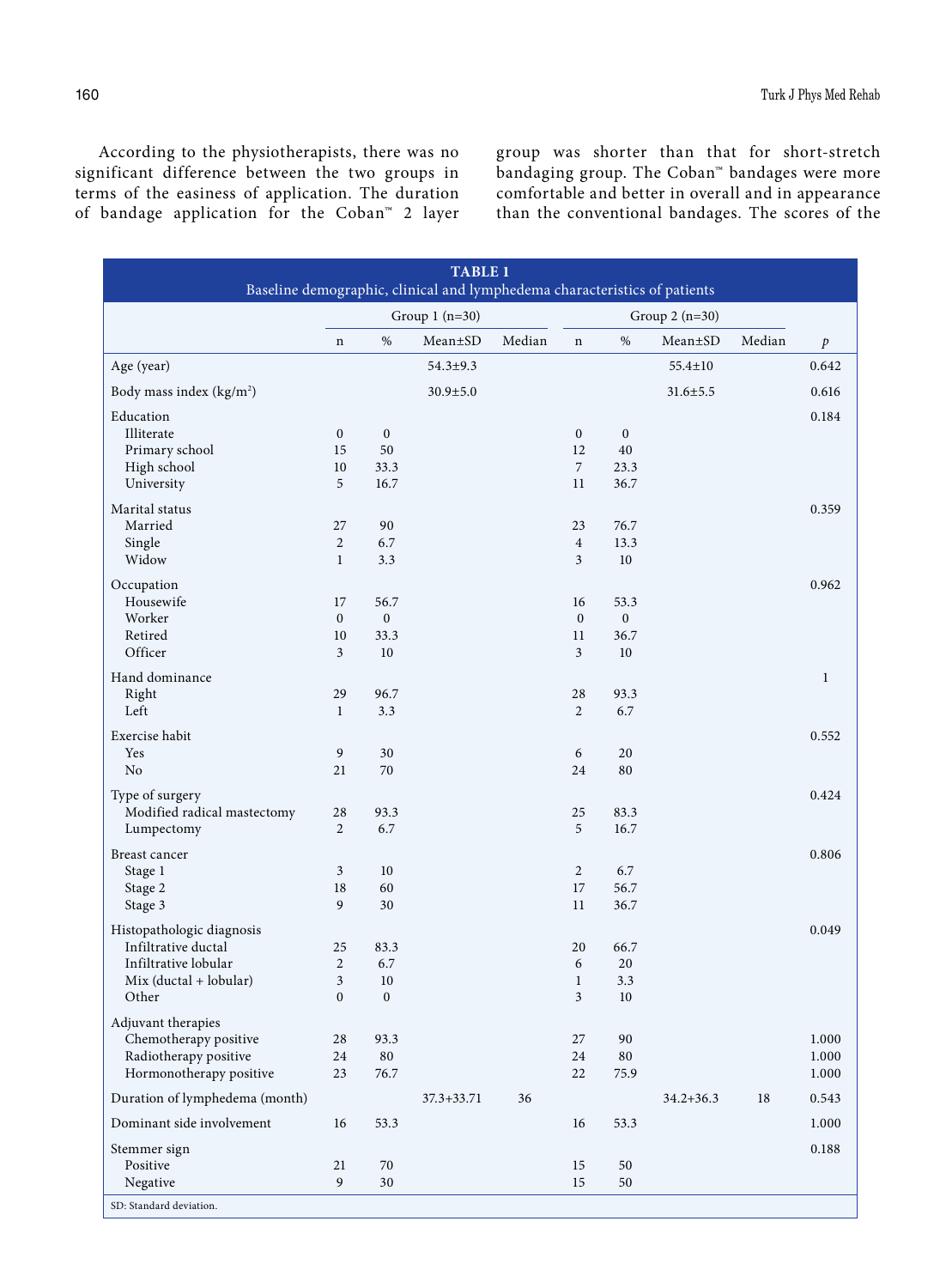According to the physiotherapists, there was no significant difference between the two groups in terms of the easiness of application. The duration of bandage application for the Coban™ 2 layer

group was shorter than that for short-stretch bandaging group. The Coban™ bandages were more comfortable and better in overall and in appearance than the conventional bandages. The scores of the

| <b>TABLE 1</b><br>Baseline demographic, clinical and lymphedema characteristics of patients |                  |                  |                |                 |                  |                  |                |        |                  |
|---------------------------------------------------------------------------------------------|------------------|------------------|----------------|-----------------|------------------|------------------|----------------|--------|------------------|
|                                                                                             | Group $1(n=30)$  |                  |                | Group $2(n=30)$ |                  |                  |                |        |                  |
|                                                                                             | $\mathbf n$      | $\%$             | Mean±SD        | Median          | $\mathbf n$      | $\%$             | Mean±SD        | Median | $\boldsymbol{p}$ |
| Age (year)                                                                                  |                  |                  | $54.3 \pm 9.3$ |                 |                  |                  | 55.4±10        |        | 0.642            |
| Body mass index (kg/m <sup>2</sup> )                                                        |                  |                  | $30.9 \pm 5.0$ |                 |                  |                  | $31.6 \pm 5.5$ |        | 0.616            |
| Education                                                                                   |                  |                  |                |                 |                  |                  |                |        | 0.184            |
| Illiterate                                                                                  | $\mathbf{0}$     | $\boldsymbol{0}$ |                |                 | $\boldsymbol{0}$ | $\boldsymbol{0}$ |                |        |                  |
| Primary school                                                                              | 15               | 50               |                |                 | 12               | 40               |                |        |                  |
| High school                                                                                 | $10\,$           | 33.3             |                |                 | $\overline{7}$   | 23.3             |                |        |                  |
| University                                                                                  | 5                | 16.7             |                |                 | 11               | 36.7             |                |        |                  |
| Marital status                                                                              |                  |                  |                |                 |                  |                  |                |        | 0.359            |
| Married                                                                                     | 27               | 90               |                |                 | 23               | 76.7             |                |        |                  |
| Single                                                                                      | $\overline{2}$   | 6.7              |                |                 | $\boldsymbol{4}$ | 13.3             |                |        |                  |
| Widow                                                                                       | $\mathbf{1}$     | 3.3              |                |                 | 3                | 10               |                |        |                  |
|                                                                                             |                  |                  |                |                 |                  |                  |                |        | 0.962            |
| Occupation<br>Housewife                                                                     | 17               | 56.7             |                |                 | 16               | 53.3             |                |        |                  |
| Worker                                                                                      | $\mathbf{0}$     | $\boldsymbol{0}$ |                |                 | $\boldsymbol{0}$ | $\boldsymbol{0}$ |                |        |                  |
| Retired                                                                                     | $10\,$           | 33.3             |                |                 | 11               | 36.7             |                |        |                  |
| Officer                                                                                     | $\overline{3}$   | 10               |                |                 | $\mathfrak{Z}$   | $10\,$           |                |        |                  |
|                                                                                             |                  |                  |                |                 |                  |                  |                |        |                  |
| Hand dominance                                                                              |                  |                  |                |                 |                  |                  |                |        | $\mathbf{1}$     |
| Right                                                                                       | 29               | 96.7             |                |                 | 28               | 93.3             |                |        |                  |
| Left                                                                                        | $\mathbf{1}$     | 3.3              |                |                 | $\overline{2}$   | 6.7              |                |        |                  |
| Exercise habit                                                                              |                  |                  |                |                 |                  |                  |                |        | 0.552            |
| Yes                                                                                         | 9                | 30               |                |                 | 6                | 20               |                |        |                  |
| No                                                                                          | 21               | 70               |                |                 | 24               | 80               |                |        |                  |
|                                                                                             |                  |                  |                |                 |                  |                  |                |        |                  |
| Type of surgery                                                                             |                  |                  |                |                 |                  |                  |                |        | 0.424            |
| Modified radical mastectomy                                                                 | 28               | 93.3             |                |                 | 25               | 83.3             |                |        |                  |
| Lumpectomy                                                                                  | $\overline{c}$   | 6.7              |                |                 | $\sqrt{5}$       | 16.7             |                |        |                  |
| Breast cancer                                                                               |                  |                  |                |                 |                  |                  |                |        | 0.806            |
| Stage 1                                                                                     | 3                | 10               |                |                 | $\overline{2}$   | 6.7              |                |        |                  |
| Stage 2                                                                                     | 18               | 60               |                |                 | $17\,$           | 56.7             |                |        |                  |
| Stage 3                                                                                     | 9                | $30\,$           |                |                 | 11               | 36.7             |                |        |                  |
|                                                                                             |                  |                  |                |                 |                  |                  |                |        |                  |
| Histopathologic diagnosis                                                                   |                  |                  |                |                 |                  |                  |                |        | 0.049            |
| Infiltrative ductal                                                                         | 25               | 83.3             |                |                 | 20               | 66.7             |                |        |                  |
| Infiltrative lobular                                                                        | $\sqrt{2}$       | 6.7              |                |                 | 6                | 20               |                |        |                  |
| $Mix (ductal + lobular)$                                                                    | 3                | 10               |                |                 | $\mathbf{1}$     | 3.3              |                |        |                  |
| Other                                                                                       | $\boldsymbol{0}$ | $\boldsymbol{0}$ |                |                 | 3                | $10\,$           |                |        |                  |
| Adjuvant therapies                                                                          |                  |                  |                |                 |                  |                  |                |        |                  |
| Chemotherapy positive                                                                       | 28               | 93.3             |                |                 | 27               | 90               |                |        | 1.000            |
| Radiotherapy positive                                                                       | 24               | 80               |                |                 | 24               | 80               |                |        | 1.000            |
| Hormonotherapy positive                                                                     | 23               | 76.7             |                |                 | 22               | 75.9             |                |        | 1.000            |
| Duration of lymphedema (month)                                                              |                  |                  | $37.3 + 33.71$ | 36              |                  |                  | $34.2 + 36.3$  | 18     | 0.543            |
| Dominant side involvement                                                                   | 16               | 53.3             |                |                 | 16               | 53.3             |                |        | 1.000            |
|                                                                                             |                  |                  |                |                 |                  |                  |                |        |                  |
| Stemmer sign                                                                                |                  |                  |                |                 |                  |                  |                |        | 0.188            |
| Positive                                                                                    | 21               | 70               |                |                 | 15               | 50               |                |        |                  |
| Negative                                                                                    | 9                | $30\,$           |                |                 | 15               | 50               |                |        |                  |
| SD: Standard deviation.                                                                     |                  |                  |                |                 |                  |                  |                |        |                  |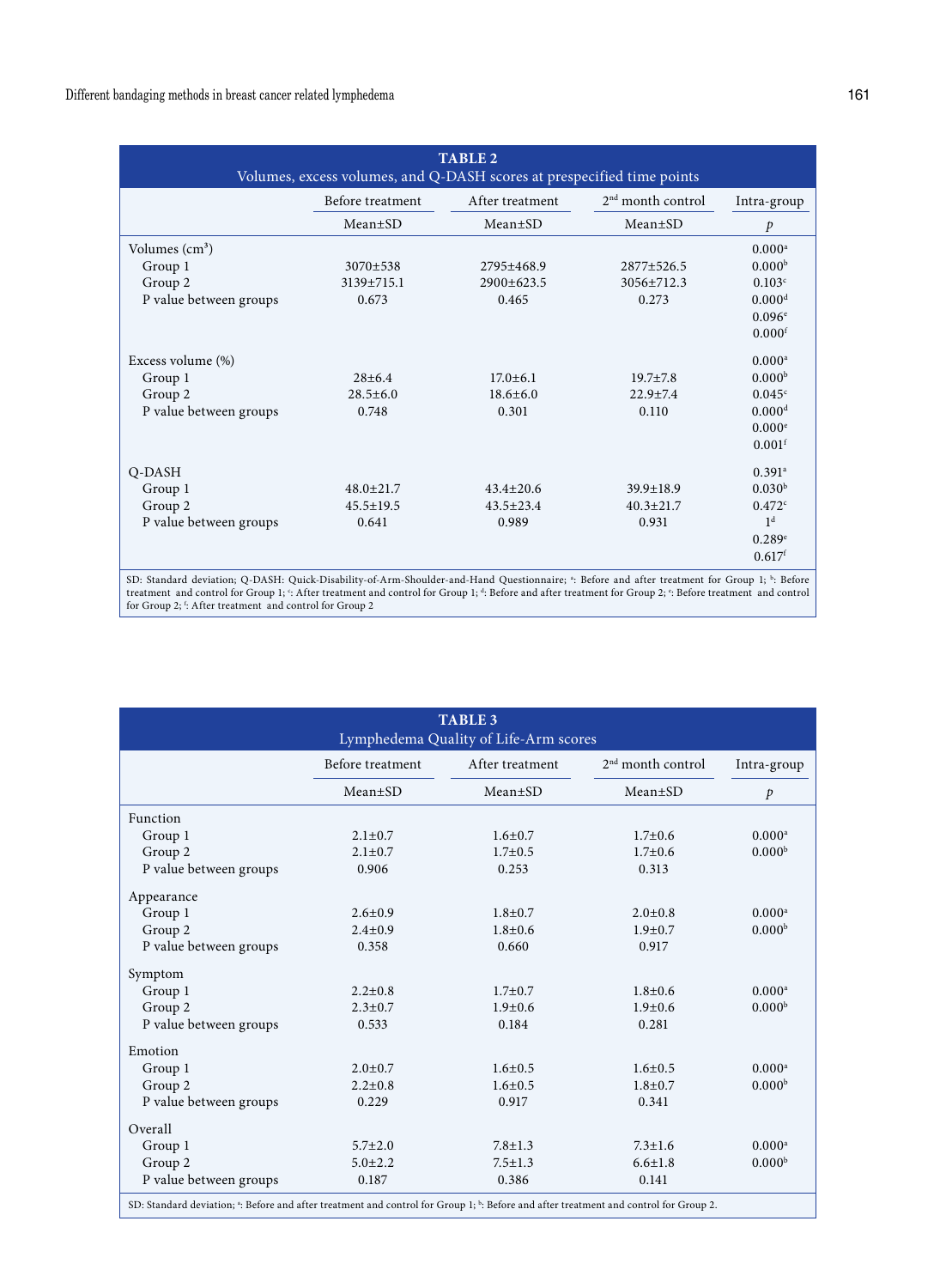| <b>TABLE 2</b><br>Volumes, excess volumes, and Q-DASH scores at prespecified time points |                  |                 |                     |                      |  |  |
|------------------------------------------------------------------------------------------|------------------|-----------------|---------------------|----------------------|--|--|
|                                                                                          | Before treatment | After treatment | $2nd$ month control | Intra-group          |  |  |
|                                                                                          | $Mean \pm SD$    | $Mean \pm SD$   | $Mean \pm SD$       | $\mathcal{P}$        |  |  |
| Volumes $\text{cm}^3$ )                                                                  |                  |                 |                     | $0.000^a$            |  |  |
| Group 1                                                                                  | $3070 \pm 538$   | $2795 + 468.9$  | $2877+526.5$        | 0.000 <sup>b</sup>   |  |  |
| Group 2                                                                                  | $3139 + 715.1$   | $2900+623.5$    | $3056 + 712.3$      | 0.103c               |  |  |
| P value between groups                                                                   | 0.673            | 0.465           | 0.273               | 0.000 <sup>d</sup>   |  |  |
|                                                                                          |                  |                 |                     | $0.096^{\circ}$      |  |  |
|                                                                                          |                  |                 |                     | $0.000$ <sup>f</sup> |  |  |
| Excess volume (%)                                                                        |                  |                 |                     | $0.000$ <sup>a</sup> |  |  |
| Group 1                                                                                  | $28 \pm 6.4$     | $17.0 \pm 6.1$  | $19.7 \pm 7.8$      | 0.000 <sup>b</sup>   |  |  |
| Group 2                                                                                  | $28.5 \pm 6.0$   | $18.6 \pm 6.0$  | $22.9 + 7.4$        | 0.045c               |  |  |
| P value between groups                                                                   | 0.748            | 0.301           | 0.110               | 0.000 <sup>d</sup>   |  |  |
|                                                                                          |                  |                 |                     | 0.000e               |  |  |
|                                                                                          |                  |                 |                     | $0.001$ <sup>f</sup> |  |  |
| Q-DASH                                                                                   |                  |                 |                     | $0.391$ <sup>a</sup> |  |  |
| Group 1                                                                                  | $48.0 \pm 21.7$  | $43.4 \pm 20.6$ | $39.9 \pm 18.9$     | 0.030 <sup>b</sup>   |  |  |
| Group 2                                                                                  | $45.5 \pm 19.5$  | $43.5 \pm 23.4$ | $40.3 \pm 21.7$     | 0.472c               |  |  |
| P value between groups                                                                   | 0.641            | 0.989           | 0.931               | 1 <sup>d</sup>       |  |  |
|                                                                                          |                  |                 |                     | 0.289e               |  |  |
|                                                                                          |                  |                 |                     | $0.617$ <sup>f</sup> |  |  |

SD: Standard deviation; Q-DASH: Quick-Disability-of-Arm-Shoulder-and-Hand Questionnaire; <sup>a</sup>: Before and after treatment for Group 1; <sup>b</sup>: Before treatment and control for Group 1; <sup>c</sup>: After treatment and control for Group 1; <sup>d</sup>: Before and after treatment for Group 2; <sup>e</sup>: Before treatment and control<br>for Group 2; <sup>t</sup>: After treatment and control for Group 2

| <b>TABLE 3</b><br>Lymphedema Quality of Life-Arm scores                                                                                                       |                  |                 |                     |                      |  |
|---------------------------------------------------------------------------------------------------------------------------------------------------------------|------------------|-----------------|---------------------|----------------------|--|
|                                                                                                                                                               | Before treatment | After treatment | $2nd$ month control | Intra-group          |  |
|                                                                                                                                                               | $Mean \pm SD$    | $Mean \pm SD$   | $Mean \pm SD$       | $\mathcal{P}$        |  |
| Function                                                                                                                                                      |                  |                 |                     |                      |  |
| Group 1                                                                                                                                                       | $2.1 \pm 0.7$    | $1.6 \pm 0.7$   | $1.7 + 0.6$         | $0.000$ <sup>a</sup> |  |
| Group 2                                                                                                                                                       | $2.1 \pm 0.7$    | $1.7 + 0.5$     | $1.7 + 0.6$         | 0.000 <sup>b</sup>   |  |
| P value between groups                                                                                                                                        | 0.906            | 0.253           | 0.313               |                      |  |
| Appearance                                                                                                                                                    |                  |                 |                     |                      |  |
| Group 1                                                                                                                                                       | $2.6 \pm 0.9$    | $1.8 + 0.7$     | $2.0 \pm 0.8$       | $0.000$ <sup>a</sup> |  |
| Group 2                                                                                                                                                       | $2.4 + 0.9$      | $1.8 + 0.6$     | $1.9 + 0.7$         | 0.000 <sup>b</sup>   |  |
| P value between groups                                                                                                                                        | 0.358            | 0.660           | 0.917               |                      |  |
| Symptom                                                                                                                                                       |                  |                 |                     |                      |  |
| Group 1                                                                                                                                                       | $2.2 \pm 0.8$    | $1.7 + 0.7$     | $1.8 + 0.6$         | $0.000$ <sup>a</sup> |  |
| Group 2                                                                                                                                                       | $2.3 + 0.7$      | $1.9 + 0.6$     | $1.9 + 0.6$         | 0.000 <sup>b</sup>   |  |
| P value between groups                                                                                                                                        | 0.533            | 0.184           | 0.281               |                      |  |
| Emotion                                                                                                                                                       |                  |                 |                     |                      |  |
| Group 1                                                                                                                                                       | $2.0 + 0.7$      | $1.6 + 0.5$     | $1.6 + 0.5$         | $0.000^a$            |  |
| Group 2                                                                                                                                                       | $2.2 \pm 0.8$    | $1.6 \pm 0.5$   | $1.8 + 0.7$         | 0.000 <sup>b</sup>   |  |
| P value between groups                                                                                                                                        | 0.229            | 0.917           | 0.341               |                      |  |
| Overall                                                                                                                                                       |                  |                 |                     |                      |  |
| Group 1                                                                                                                                                       | $5.7 + 2.0$      | $7.8 \pm 1.3$   | $7.3 + 1.6$         | $0.000$ <sup>a</sup> |  |
| Group 2                                                                                                                                                       | $5.0 \pm 2.2$    | $7.5 \pm 1.3$   | $6.6 \pm 1.8$       | 0.000 <sup>b</sup>   |  |
| P value between groups                                                                                                                                        | 0.187            | 0.386           | 0.141               |                      |  |
| SD: Standard deviation; <sup>a</sup> : Before and after treatment and control for Group 1; <sup>b</sup> : Before and after treatment and control for Group 2. |                  |                 |                     |                      |  |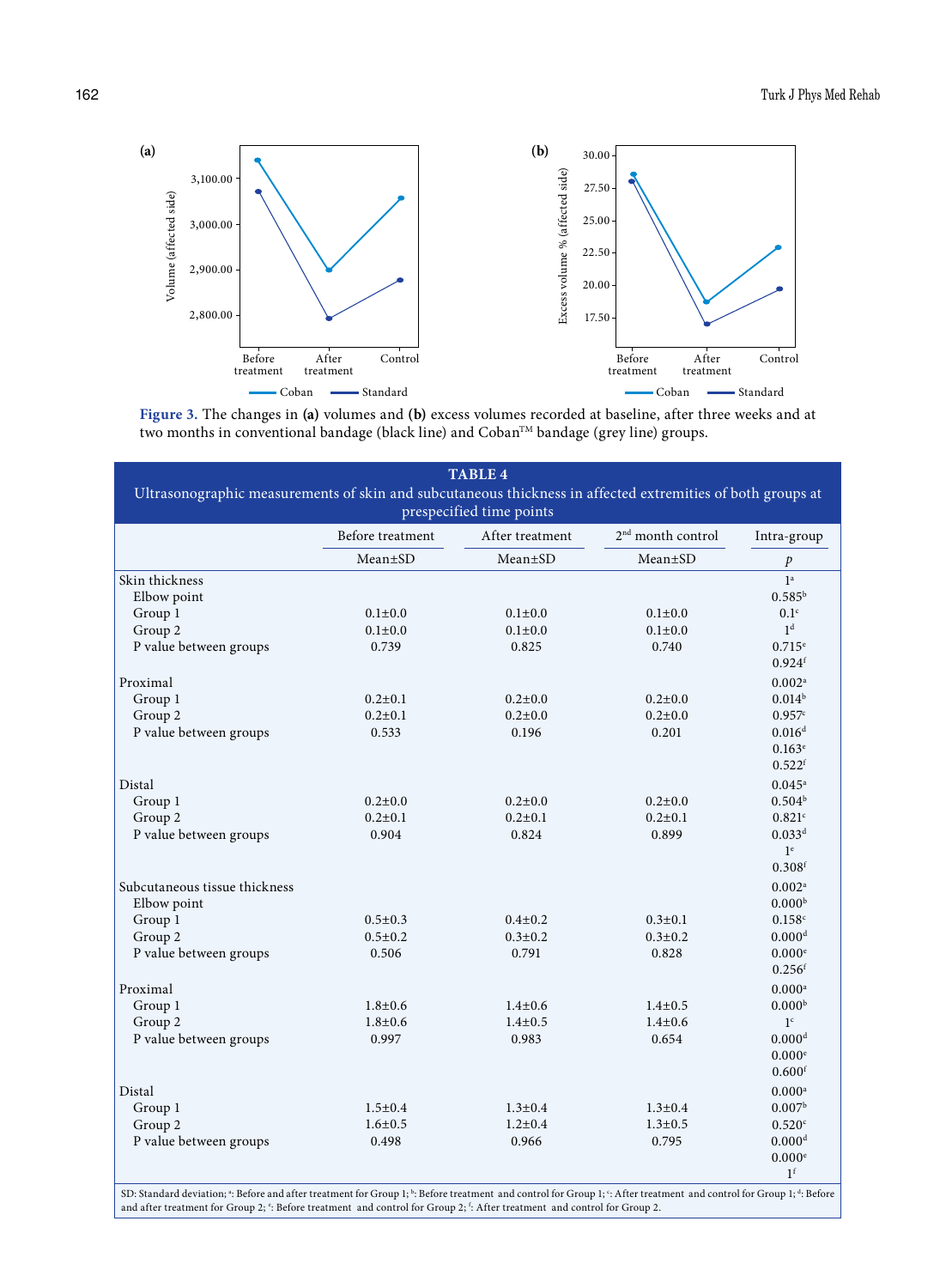

**Figure 3.** The changes in **(a)** volumes and **(b)** excess volumes recorded at baseline, after three weeks and at two months in conventional bandage (black line) and Coban™ bandage (grey line) groups.

| Ultrasonographic measurements of skin and subcutaneous thickness in affected extremities of both groups at<br>prespecified time points |                  |                 |                               |                      |  |
|----------------------------------------------------------------------------------------------------------------------------------------|------------------|-----------------|-------------------------------|----------------------|--|
|                                                                                                                                        | Before treatment | After treatment | 2 <sup>nd</sup> month control | Intra-group          |  |
|                                                                                                                                        | $Mean \pm SD$    | Mean±SD         | Mean±SD                       | $\mathcal{P}$        |  |
| Skin thickness                                                                                                                         |                  |                 |                               | 1 <sup>a</sup>       |  |
| Elbow point                                                                                                                            |                  |                 |                               | $0.585^{b}$          |  |
| Group 1                                                                                                                                | $0.1 \pm 0.0$    | $0.1 \pm 0.0$   | $0.1 + 0.0$                   | 0.1 <sup>c</sup>     |  |
| Group 2                                                                                                                                | $0.1 \pm 0.0$    | $0.1 + 0.0$     | $0.1 \pm 0.0$                 | 1 <sup>d</sup>       |  |
| P value between groups                                                                                                                 | 0.739            | 0.825           | 0.740                         | $0.715^{\circ}$      |  |
|                                                                                                                                        |                  |                 |                               | $0.924$ <sup>f</sup> |  |
| Proximal                                                                                                                               |                  |                 |                               | 0.002 <sup>a</sup>   |  |
| Group 1                                                                                                                                | $0.2 \pm 0.1$    | $0.2 \pm 0.0$   | $0.2 \pm 0.0$                 | $0.014^{b}$          |  |
| Group 2                                                                                                                                | $0.2 \pm 0.1$    | $0.2 \pm 0.0$   | $0.2 \pm 0.0$                 | 0.957c               |  |
| P value between groups                                                                                                                 | 0.533            | 0.196           | 0.201                         | 0.016 <sup>d</sup>   |  |
|                                                                                                                                        |                  |                 |                               | $0.163^e$            |  |
|                                                                                                                                        |                  |                 |                               | $0.522$ <sup>f</sup> |  |
| Distal                                                                                                                                 |                  |                 |                               | $0.045^a$            |  |
| Group 1                                                                                                                                | $0.2 \pm 0.0$    | $0.2{\pm}0.0$   | $0.2 \pm 0.0$                 | 0.504 <sup>b</sup>   |  |
| Group 2                                                                                                                                | $0.2 \pm 0.1$    | $0.2 \pm 0.1$   | $0.2 \pm 0.1$                 | 0.821c               |  |
|                                                                                                                                        | 0.904            | 0.824           | 0.899                         | 0.033 <sup>d</sup>   |  |
| P value between groups                                                                                                                 |                  |                 |                               | 1 <sup>e</sup>       |  |
|                                                                                                                                        |                  |                 |                               | $0.308^{\rm f}$      |  |
|                                                                                                                                        |                  |                 |                               |                      |  |
| Subcutaneous tissue thickness                                                                                                          |                  |                 |                               | 0.002 <sup>a</sup>   |  |
| Elbow point                                                                                                                            |                  |                 |                               | 0.000 <sup>b</sup>   |  |
| Group 1                                                                                                                                | $0.5 \pm 0.3$    | $0.4 + 0.2$     | $0.3 \pm 0.1$                 | 0.158c               |  |
| Group 2                                                                                                                                | $0.5 \pm 0.2$    | $0.3 \pm 0.2$   | $0.3 \pm 0.2$                 | 0.000 <sup>d</sup>   |  |
| P value between groups                                                                                                                 | 0.506            | 0.791           | 0.828                         | 0.000e               |  |
|                                                                                                                                        |                  |                 |                               | 0.256 <sup>f</sup>   |  |
| Proximal                                                                                                                               |                  |                 |                               | $0.000$ <sup>a</sup> |  |
| Group 1                                                                                                                                | $1.8 + 0.6$      | $1.4 \pm 0.6$   | $1.4 \pm 0.5$                 | 0.000 <sup>b</sup>   |  |
| Group 2                                                                                                                                | $1.8 + 0.6$      | $1.4 \pm 0.5$   | $1.4 \pm 0.6$                 | 1 <sup>c</sup>       |  |
| P value between groups                                                                                                                 | 0.997            | 0.983           | 0.654                         | $0.000$ <sup>d</sup> |  |
|                                                                                                                                        |                  |                 |                               | $0.000$ <sup>e</sup> |  |
|                                                                                                                                        |                  |                 |                               | $0.600$ <sup>f</sup> |  |
| Distal                                                                                                                                 |                  |                 |                               | $0.000$ <sup>a</sup> |  |
| Group 1                                                                                                                                | $1.5 \pm 0.4$    | $1.3 \pm 0.4$   | $1.3 \pm 0.4$                 | 0.007 <sup>b</sup>   |  |
| Group 2                                                                                                                                | $1.6 \pm 0.5$    | $1.2 \pm 0.4$   | $1.3 \pm 0.5$                 | $0.520$ <sup>c</sup> |  |
| P value between groups                                                                                                                 | 0.498            | 0.966           | 0.795                         | 0.000 <sup>d</sup>   |  |
|                                                                                                                                        |                  |                 |                               | 0.000 <sup>e</sup>   |  |
|                                                                                                                                        |                  |                 |                               | 1 <sup>f</sup>       |  |

SD: Standard deviation; \*: Before and after treatment for Group 1; <sup>ь</sup>: Before treatment and control for Group 1; <sup>c</sup>: After treatment and control for Group 1; <sup>4</sup><br>and after treatment for Group 2; <sup>e</sup>: Before treatment : Before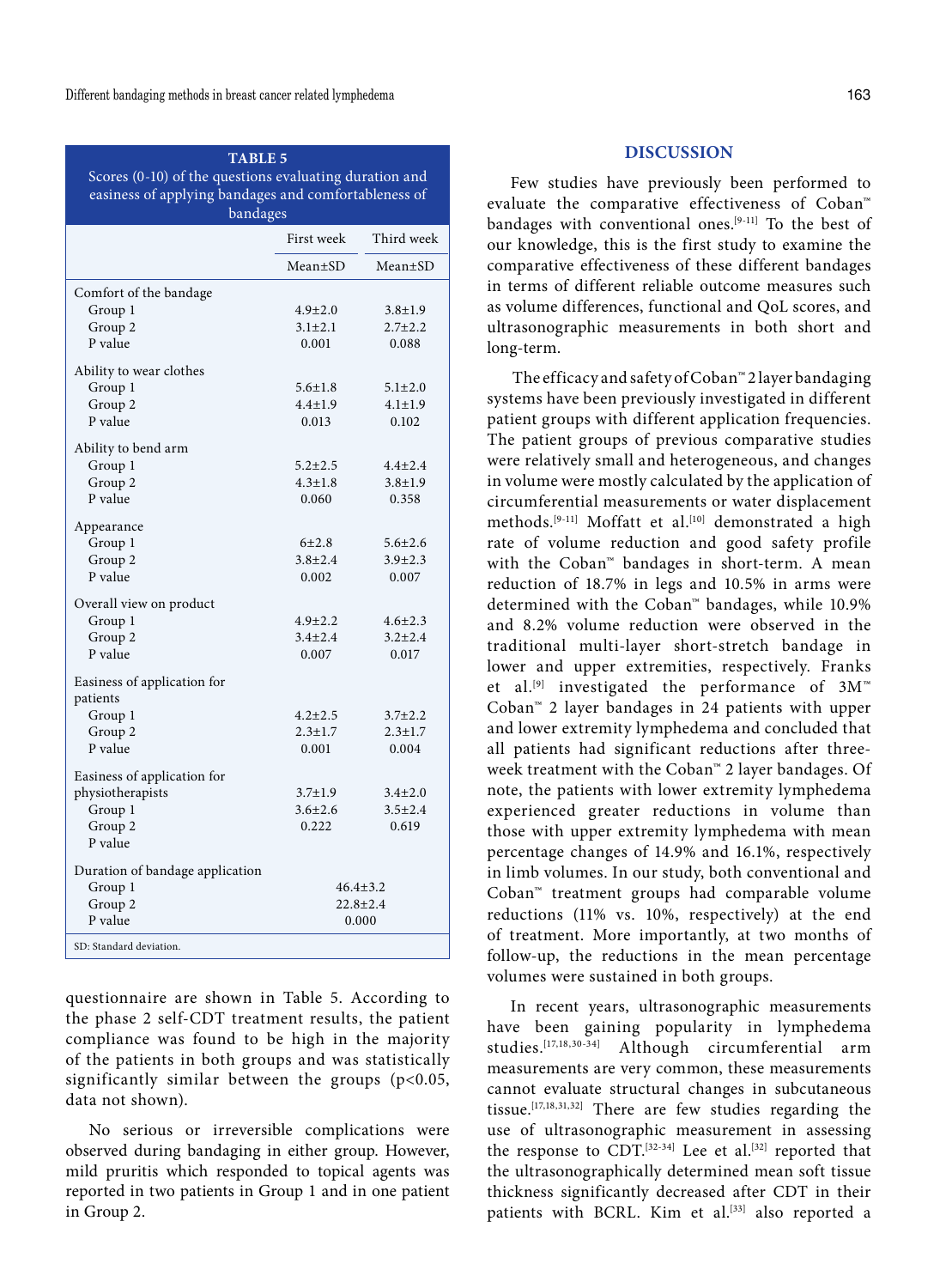# **TABLE 5** Scores (0-10) of the questions evaluating duration and easiness of applying bandages and comfortableness of bandages

|                                 | First week     | Third week    |  |
|---------------------------------|----------------|---------------|--|
|                                 | $Mean \pm SD$  | $Mean \pm SD$ |  |
| Comfort of the bandage          |                |               |  |
| Group 1                         | $4.9 + 2.0$    | $3.8 \pm 1.9$ |  |
| Group 2                         | $3.1 \pm 2.1$  | $2.7 \pm 2.2$ |  |
| P value                         | 0.001          | 0.088         |  |
| Ability to wear clothes         |                |               |  |
| Group 1                         | $5.6 \pm 1.8$  | $5.1 \pm 2.0$ |  |
| Group 2                         | $4.4 \pm 1.9$  | $4.1 \pm 1.9$ |  |
| P value                         | 0.013          | 0.102         |  |
| Ability to bend arm             |                |               |  |
| Group 1                         | $5.2 \pm 2.5$  | $4.4 \pm 2.4$ |  |
| Group 2                         | $4.3 + 1.8$    | $3.8 + 1.9$   |  |
| P value                         | 0.060          | 0.358         |  |
| Appearance                      |                |               |  |
| Group 1                         | 6±2.8          | $5.6 \pm 2.6$ |  |
| Group 2                         | $3.8 \pm 2.4$  | $3.9 \pm 2.3$ |  |
| P value                         | 0.002          | 0.007         |  |
| Overall view on product         |                |               |  |
| Group 1                         | $4.9 \pm 2.2$  | $4.6 \pm 2.3$ |  |
| Group 2                         | $3.4 + 2.4$    | $3.2 \pm 2.4$ |  |
| P value                         | 0.007          | 0.017         |  |
| Easiness of application for     |                |               |  |
| patients                        |                |               |  |
| Group 1                         | $4.2 \pm 2.5$  | $3.7 \pm 2.2$ |  |
| Group 2                         | $2.3 \pm 1.7$  | $2.3 \pm 1.7$ |  |
| P value                         | 0.001          | 0.004         |  |
| Easiness of application for     |                |               |  |
| physiotherapists                | $3.7 \pm 1.9$  | $3.4 \pm 2.0$ |  |
| Group 1                         | $3.6 + 2.6$    | $3.5 \pm 2.4$ |  |
| Group 2                         | 0.222          | 0.619         |  |
| P value                         |                |               |  |
| Duration of bandage application |                |               |  |
| Group 1                         | $46.4 \pm 3.2$ |               |  |
| Group 2                         | $22.8 \pm 2.4$ |               |  |
| P value                         |                | 0.000         |  |
| SD: Standard deviation.         |                |               |  |

questionnaire are shown in Table 5. According to the phase 2 self-CDT treatment results, the patient compliance was found to be high in the majority of the patients in both groups and was statistically significantly similar between the groups  $(p<0.05,$ data not shown).

No serious or irreversible complications were observed during bandaging in either group. However, mild pruritis which responded to topical agents was reported in two patients in Group 1 and in one patient in Group 2.

## **DISCUSSION**

Few studies have previously been performed to evaluate the comparative effectiveness of Coban™ bandages with conventional ones.<sup>[9-11]</sup> To the best of our knowledge, this is the first study to examine the comparative effectiveness of these different bandages in terms of different reliable outcome measures such as volume differences, functional and QoL scores, and ultrasonographic measurements in both short and long-term.

 The efficacy and safety of Coban™ 2 layer bandaging systems have been previously investigated in different patient groups with different application frequencies. The patient groups of previous comparative studies were relatively small and heterogeneous, and changes in volume were mostly calculated by the application of circumferential measurements or water displacement methods.<sup>[9-11]</sup> Moffatt et al.<sup>[10]</sup> demonstrated a high rate of volume reduction and good safety profile with the Coban™ bandages in short-term. A mean reduction of 18.7% in legs and 10.5% in arms were determined with the Coban™ bandages, while 10.9% and 8.2% volume reduction were observed in the traditional multi-layer short-stretch bandage in lower and upper extremities, respectively. Franks et al.<sup>[9]</sup> investigated the performance of  $3M^{\omega}$ Coban™ 2 layer bandages in 24 patients with upper and lower extremity lymphedema and concluded that all patients had significant reductions after threeweek treatment with the Coban™ 2 layer bandages. Of note, the patients with lower extremity lymphedema experienced greater reductions in volume than those with upper extremity lymphedema with mean percentage changes of 14.9% and 16.1%, respectively in limb volumes. In our study, both conventional and Coban™ treatment groups had comparable volume reductions (11% vs. 10%, respectively) at the end of treatment. More importantly, at two months of follow-up, the reductions in the mean percentage volumes were sustained in both groups.

In recent years, ultrasonographic measurements have been gaining popularity in lymphedema studies.[17,18,30-34] Although circumferential arm measurements are very common, these measurements cannot evaluate structural changes in subcutaneous tissue.[17,18,31,32] There are few studies regarding the use of ultrasonographic measurement in assessing the response to CDT.<sup>[32-34]</sup> Lee et al.<sup>[32]</sup> reported that the ultrasonographically determined mean soft tissue thickness significantly decreased after CDT in their patients with BCRL. Kim et al.<sup>[33]</sup> also reported a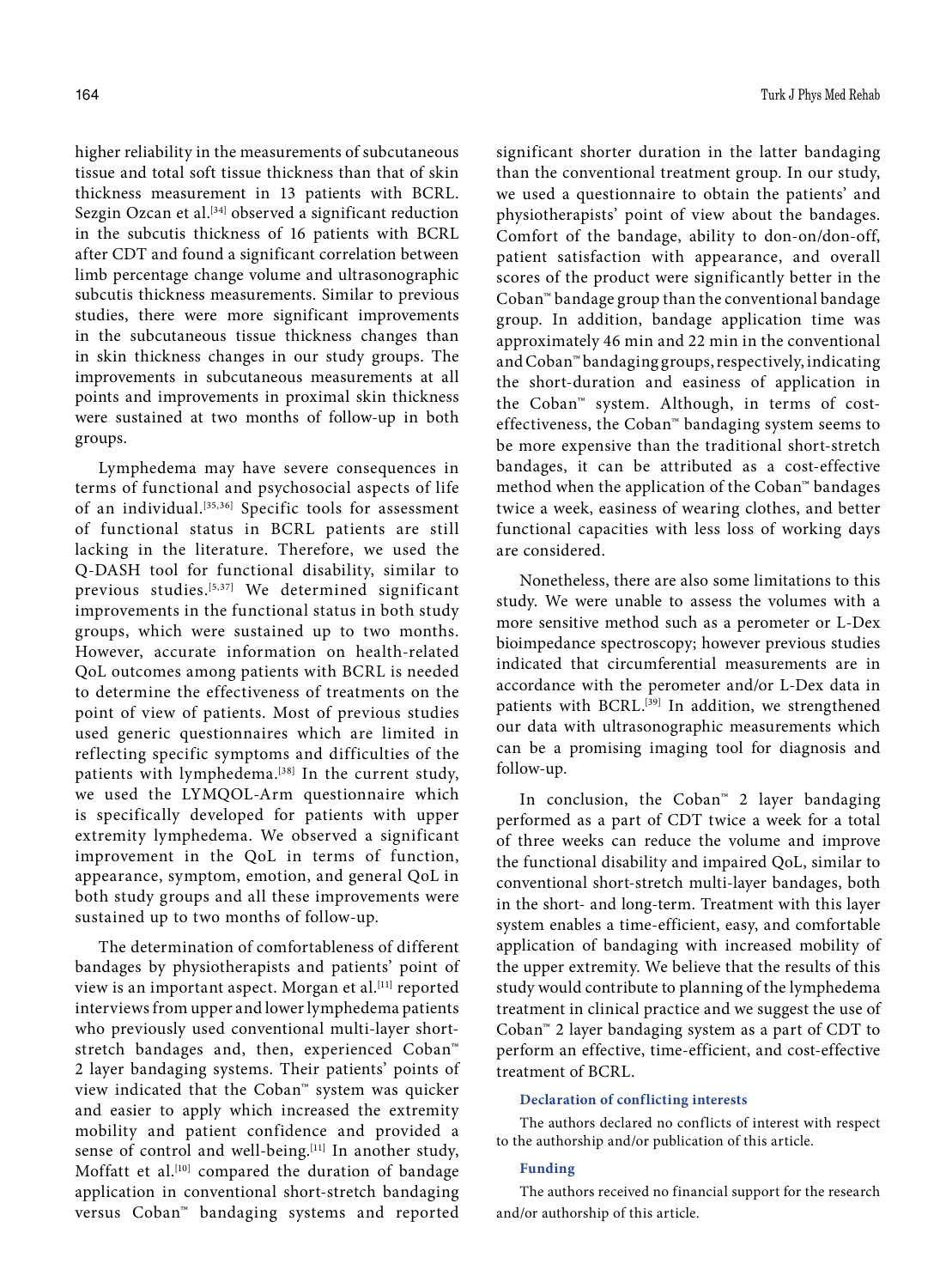higher reliability in the measurements of subcutaneous tissue and total soft tissue thickness than that of skin thickness measurement in 13 patients with BCRL. Sezgin Ozcan et al.<sup>[34]</sup> observed a significant reduction in the subcutis thickness of 16 patients with BCRL after CDT and found a significant correlation between limb percentage change volume and ultrasonographic subcutis thickness measurements. Similar to previous studies, there were more significant improvements in the subcutaneous tissue thickness changes than in skin thickness changes in our study groups. The improvements in subcutaneous measurements at all points and improvements in proximal skin thickness were sustained at two months of follow-up in both groups.

Lymphedema may have severe consequences in terms of functional and psychosocial aspects of life of an individual.[35,36] Specific tools for assessment of functional status in BCRL patients are still lacking in the literature. Therefore, we used the Q-DASH tool for functional disability, similar to previous studies.[5,37] We determined significant improvements in the functional status in both study groups, which were sustained up to two months. However, accurate information on health-related QoL outcomes among patients with BCRL is needed to determine the effectiveness of treatments on the point of view of patients. Most of previous studies used generic questionnaires which are limited in reflecting specific symptoms and difficulties of the patients with lymphedema.<sup>[38]</sup> In the current study, we used the LYMQOL-Arm questionnaire which is specifically developed for patients with upper extremity lymphedema. We observed a significant improvement in the QoL in terms of function, appearance, symptom, emotion, and general QoL in both study groups and all these improvements were sustained up to two months of follow-up.

The determination of comfortableness of different bandages by physiotherapists and patients' point of view is an important aspect. Morgan et al.<sup>[11]</sup> reported interviews from upper and lower lymphedema patients who previously used conventional multi-layer shortstretch bandages and, then, experienced Coban™ 2 layer bandaging systems. Their patients' points of view indicated that the Coban™ system was quicker and easier to apply which increased the extremity mobility and patient confidence and provided a sense of control and well-being.<sup>[11]</sup> In another study, Moffatt et al.<sup>[10]</sup> compared the duration of bandage application in conventional short-stretch bandaging versus Coban™ bandaging systems and reported

significant shorter duration in the latter bandaging than the conventional treatment group. In our study, we used a questionnaire to obtain the patients' and physiotherapists' point of view about the bandages. Comfort of the bandage, ability to don-on/don-off, patient satisfaction with appearance, and overall scores of the product were significantly better in the Coban™ bandage group than the conventional bandage group. In addition, bandage application time was approximately 46 min and 22 min in the conventional and Coban™ bandaging groups, respectively, indicating the short-duration and easiness of application in the Coban™ system. Although, in terms of costeffectiveness, the Coban™ bandaging system seems to be more expensive than the traditional short-stretch bandages, it can be attributed as a cost-effective method when the application of the Coban™ bandages twice a week, easiness of wearing clothes, and better functional capacities with less loss of working days are considered.

Nonetheless, there are also some limitations to this study. We were unable to assess the volumes with a more sensitive method such as a perometer or L-Dex bioimpedance spectroscopy; however previous studies indicated that circumferential measurements are in accordance with the perometer and/or L-Dex data in patients with BCRL.<sup>[39]</sup> In addition, we strengthened our data with ultrasonographic measurements which can be a promising imaging tool for diagnosis and follow-up.

In conclusion, the Coban™ 2 layer bandaging performed as a part of CDT twice a week for a total of three weeks can reduce the volume and improve the functional disability and impaired QoL, similar to conventional short-stretch multi-layer bandages, both in the short- and long-term. Treatment with this layer system enables a time-efficient, easy, and comfortable application of bandaging with increased mobility of the upper extremity. We believe that the results of this study would contribute to planning of the lymphedema treatment in clinical practice and we suggest the use of Coban™ 2 layer bandaging system as a part of CDT to perform an effective, time-efficient, and cost-effective treatment of BCRL.

#### **Declaration of conflicting interests**

The authors declared no conflicts of interest with respect to the authorship and/or publication of this article.

#### **Funding**

The authors received no financial support for the research and/or authorship of this article.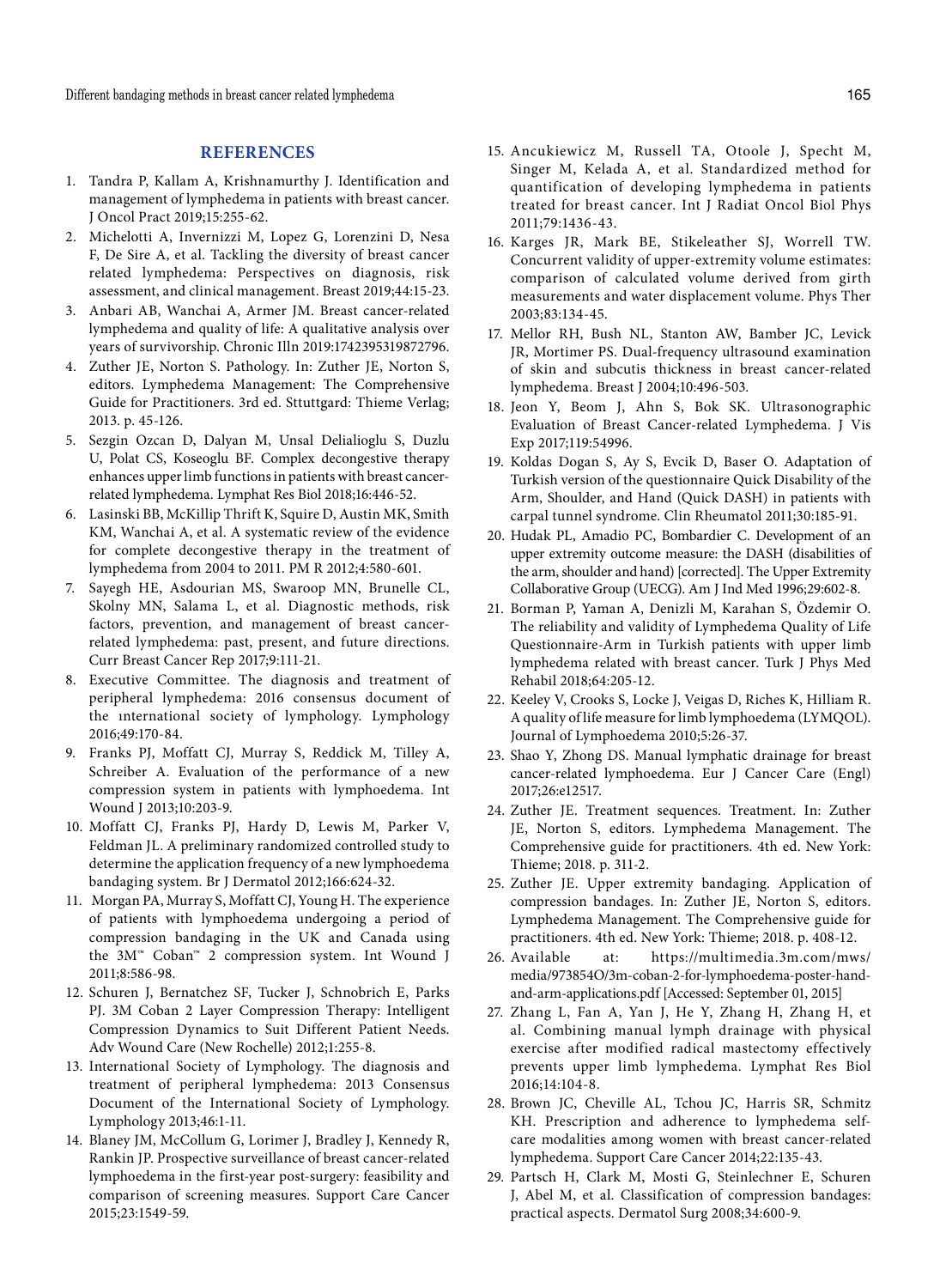## **REFERENCES**

- 1. Tandra P, Kallam A, Krishnamurthy J. Identification and management of lymphedema in patients with breast cancer. J Oncol Pract 2019;15:255-62.
- 2. Michelotti A, Invernizzi M, Lopez G, Lorenzini D, Nesa F, De Sire A, et al. Tackling the diversity of breast cancer related lymphedema: Perspectives on diagnosis, risk assessment, and clinical management. Breast 2019;44:15-23.
- 3. Anbari AB, Wanchai A, Armer JM. Breast cancer-related lymphedema and quality of life: A qualitative analysis over years of survivorship. Chronic Illn 2019:1742395319872796.
- 4. Zuther JE, Norton S. Pathology. In: Zuther JE, Norton S, editors. Lymphedema Management: The Comprehensive Guide for Practitioners. 3rd ed. Sttuttgard: Thieme Verlag; 2013. p. 45-126.
- 5. Sezgin Ozcan D, Dalyan M, Unsal Delialioglu S, Duzlu U, Polat CS, Koseoglu BF. Complex decongestive therapy enhances upper limb functions in patients with breast cancerrelated lymphedema. Lymphat Res Biol 2018;16:446-52.
- 6. Lasinski BB, McKillip Thrift K, Squire D, Austin MK, Smith KM, Wanchai A, et al. A systematic review of the evidence for complete decongestive therapy in the treatment of lymphedema from 2004 to 2011. PM R 2012;4:580-601.
- 7. Sayegh HE, Asdourian MS, Swaroop MN, Brunelle CL, Skolny MN, Salama L, et al. Diagnostic methods, risk factors, prevention, and management of breast cancerrelated lymphedema: past, present, and future directions. Curr Breast Cancer Rep 2017;9:111-21.
- 8. Executive Committee. The diagnosis and treatment of peripheral lymphedema: 2016 consensus document of the ınternational society of lymphology. Lymphology 2016;49:170-84.
- 9. Franks PJ, Moffatt CJ, Murray S, Reddick M, Tilley A, Schreiber A. Evaluation of the performance of a new compression system in patients with lymphoedema. Int Wound J 2013;10:203-9.
- 10. Moffatt CJ, Franks PJ, Hardy D, Lewis M, Parker V, Feldman JL. A preliminary randomized controlled study to determine the application frequency of a new lymphoedema bandaging system. Br J Dermatol 2012;166:624-32.
- 11. Morgan PA, Murray S, Moffatt CJ, Young H. The experience of patients with lymphoedema undergoing a period of compression bandaging in the UK and Canada using the 3M™ Coban™ 2 compression system. Int Wound J 2011;8:586-98.
- 12. Schuren J, Bernatchez SF, Tucker J, Schnobrich E, Parks PJ. 3M Coban 2 Layer Compression Therapy: Intelligent Compression Dynamics to Suit Different Patient Needs. Adv Wound Care (New Rochelle) 2012;1:255-8.
- 13. International Society of Lymphology. The diagnosis and treatment of peripheral lymphedema: 2013 Consensus Document of the International Society of Lymphology. Lymphology 2013;46:1-11.
- 14. Blaney JM, McCollum G, Lorimer J, Bradley J, Kennedy R, Rankin JP. Prospective surveillance of breast cancer-related lymphoedema in the first-year post-surgery: feasibility and comparison of screening measures. Support Care Cancer 2015;23:1549-59.
- 15. Ancukiewicz M, Russell TA, Otoole J, Specht M, Singer M, Kelada A, et al. Standardized method for quantification of developing lymphedema in patients treated for breast cancer. Int J Radiat Oncol Biol Phys 2011;79:1436-43.
- 16. Karges JR, Mark BE, Stikeleather SJ, Worrell TW. Concurrent validity of upper-extremity volume estimates: comparison of calculated volume derived from girth measurements and water displacement volume. Phys Ther 2003;83:134-45.
- 17. Mellor RH, Bush NL, Stanton AW, Bamber JC, Levick JR, Mortimer PS. Dual-frequency ultrasound examination of skin and subcutis thickness in breast cancer-related lymphedema. Breast J 2004;10:496-503.
- 18. Jeon Y, Beom J, Ahn S, Bok SK. Ultrasonographic Evaluation of Breast Cancer-related Lymphedema. J Vis Exp 2017;119:54996.
- 19. Koldas Dogan S, Ay S, Evcik D, Baser O. Adaptation of Turkish version of the questionnaire Quick Disability of the Arm, Shoulder, and Hand (Quick DASH) in patients with carpal tunnel syndrome. Clin Rheumatol 2011;30:185-91.
- 20. Hudak PL, Amadio PC, Bombardier C. Development of an upper extremity outcome measure: the DASH (disabilities of the arm, shoulder and hand) [corrected]. The Upper Extremity Collaborative Group (UECG). Am J Ind Med 1996;29:602-8.
- 21. Borman P, Yaman A, Denizli M, Karahan S, Özdemir O. The reliability and validity of Lymphedema Quality of Life Questionnaire-Arm in Turkish patients with upper limb lymphedema related with breast cancer. Turk J Phys Med Rehabil 2018;64:205-12.
- 22. Keeley V, Crooks S, Locke J, Veigas D, Riches K, Hilliam R. A quality of life measure for limb lymphoedema (LYMQOL). Journal of Lymphoedema 2010;5:26-37.
- 23. Shao Y, Zhong DS. Manual lymphatic drainage for breast cancer-related lymphoedema. Eur J Cancer Care (Engl) 2017;26:e12517.
- 24. Zuther JE. Treatment sequences. Treatment. In: Zuther JE, Norton S, editors. Lymphedema Management. The Comprehensive guide for practitioners. 4th ed. New York: Thieme; 2018. p. 311-2.
- 25. Zuther JE. Upper extremity bandaging. Application of compression bandages. In: Zuther JE, Norton S, editors. Lymphedema Management. The Comprehensive guide for practitioners. 4th ed. New York: Thieme; 2018. p. 408-12.
- 26. Available at: https://multimedia.3m.com/mws/ media/973854O/3m-coban-2-for-lymphoedema-poster-handand-arm-applications.pdf [Accessed: September 01, 2015]
- 27. Zhang L, Fan A, Yan J, He Y, Zhang H, Zhang H, et al. Combining manual lymph drainage with physical exercise after modified radical mastectomy effectively prevents upper limb lymphedema. Lymphat Res Biol 2016;14:104-8.
- 28. Brown JC, Cheville AL, Tchou JC, Harris SR, Schmitz KH. Prescription and adherence to lymphedema selfcare modalities among women with breast cancer-related lymphedema. Support Care Cancer 2014;22:135-43.
- 29. Partsch H, Clark M, Mosti G, Steinlechner E, Schuren J, Abel M, et al. Classification of compression bandages: practical aspects. Dermatol Surg 2008;34:600-9.